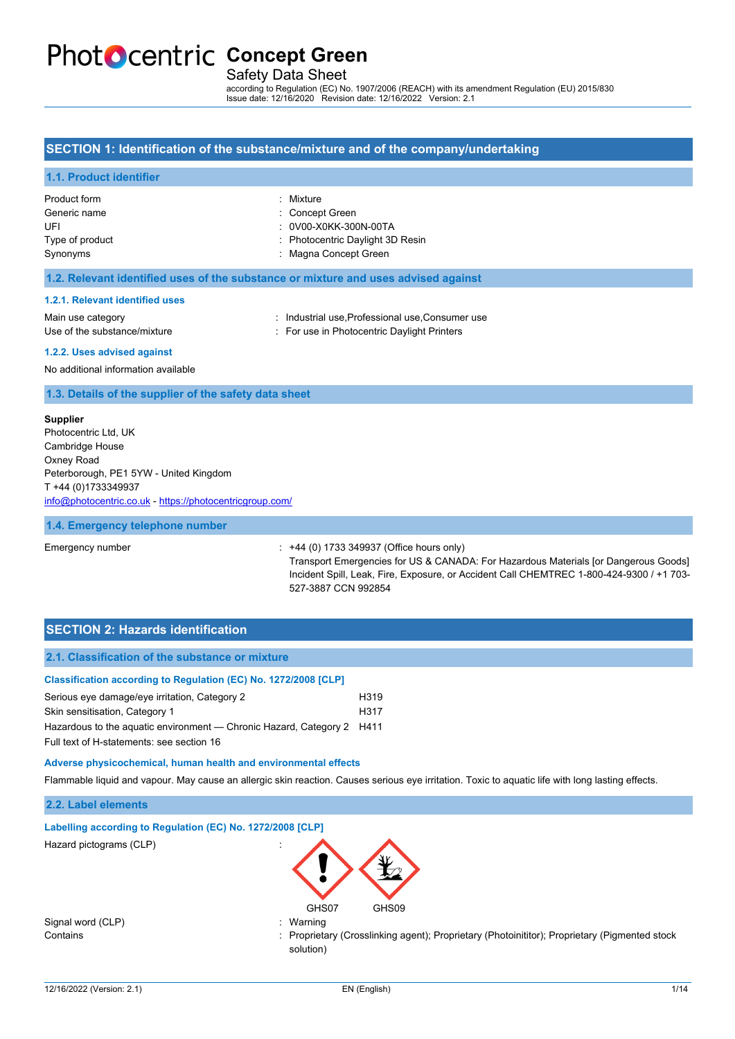# **PhotoCentric Concept Green**

## Safety Data Sheet

according to Regulation (EC) No. 1907/2006 (REACH) with its amendment Regulation (EU) 2015/830 Issue date: 12/16/2020 Revision date: 12/16/2022 Version: 2.1

#### **SECTION 1: Identification of the substance/mixture and of the company/undertaking**

#### **1.1. Product identifier**

| Product form<br>Generic name<br>UFL | : Mixture<br>: Concept Green<br>: 0V00-X0KK-300N-00TA     |
|-------------------------------------|-----------------------------------------------------------|
| Type of product<br>Synonyms         | : Photocentric Daylight 3D Resin<br>: Magna Concept Green |

#### **1.2. Relevant identified uses of the substance or mixture and uses advised against**

#### **1.2.1. Relevant identified uses**

Main use category **industrial use, Professional use, Consumer use** Use of the substance/mixture in For use in Photocentric Daylight Printers

#### **1.2.2. Uses advised against**

No additional information available

#### **1.3. Details of the supplier of the safety data sheet**

#### **Supplier**

Photocentric Ltd, UK Cambridge House Oxney Road Peterborough, PE1 5YW - United Kingdom T +44 (0)1733349937 [info@photocentric.co.uk](mailto:info@photocentric.co.uk) -<https://photocentricgroup.com/>

#### **1.4. Emergency telephone number**

#### Emergency number :  $+44$  (0) 1733 349937 (Office hours only)

Transport Emergencies for US & CANADA: For Hazardous Materials [or Dangerous Goods] Incident Spill, Leak, Fire, Exposure, or Accident Call CHEMTREC 1-800-424-9300 / +1 703- 527-3887 CCN 992854

## **SECTION 2: Hazards identification**

| 2.1. Classification of the substance or mixture                        |      |
|------------------------------------------------------------------------|------|
| Classification according to Regulation (EC) No. 1272/2008 [CLP]        |      |
| Serious eye damage/eye irritation, Category 2                          | H319 |
| Skin sensitisation, Category 1                                         | H317 |
| Hazardous to the aquatic environment — Chronic Hazard, Category 2 H411 |      |
| Full text of H-statements: see section 16                              |      |
|                                                                        |      |

#### **Adverse physicoch**

#### **2.2. Label elements**

| Adverse physicochemical, human health and environmental effects |                                                                                                                                                   |
|-----------------------------------------------------------------|---------------------------------------------------------------------------------------------------------------------------------------------------|
|                                                                 | Flammable liquid and vapour. May cause an allergic skin reaction. Causes serious eye irritation. Toxic to aquatic life with long lasting effects. |
| 2.2. Label elements                                             |                                                                                                                                                   |
| Labelling according to Regulation (EC) No. 1272/2008 [CLP]      |                                                                                                                                                   |
| Hazard pictograms (CLP)                                         | GHS07<br>GHS09                                                                                                                                    |
| Signal word (CLP)                                               | : Warning                                                                                                                                         |
| Contains                                                        | : Proprietary (Crosslinking agent); Proprietary (Photoinititor); Proprietary (Pigmented stock                                                     |

solution)

Signal word (CLP)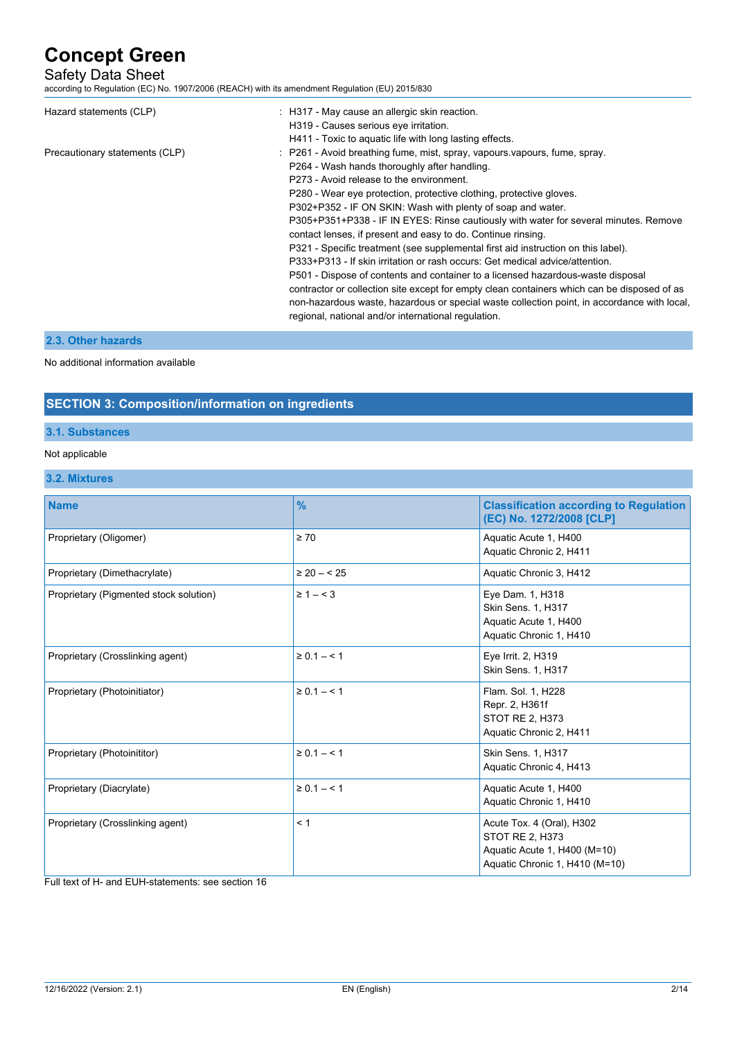## Safety Data Sheet

according to Regulation (EC) No. 1907/2006 (REACH) with its amendment Regulation (EU) 2015/830

| Hazard statements (CLP)        | : H317 - May cause an allergic skin reaction.<br>H319 - Causes serious eye irritation.<br>H411 - Toxic to aquatic life with long lasting effects.                                                                                                                                                                                                                                                                                                                                                                                                                                                                                                                                                                                                                                                                                                                                                                                                                                |
|--------------------------------|----------------------------------------------------------------------------------------------------------------------------------------------------------------------------------------------------------------------------------------------------------------------------------------------------------------------------------------------------------------------------------------------------------------------------------------------------------------------------------------------------------------------------------------------------------------------------------------------------------------------------------------------------------------------------------------------------------------------------------------------------------------------------------------------------------------------------------------------------------------------------------------------------------------------------------------------------------------------------------|
| Precautionary statements (CLP) | : P261 - Avoid breathing fume, mist, spray, vapours vapours, fume, spray.<br>P264 - Wash hands thoroughly after handling.<br>P273 - Avoid release to the environment.<br>P280 - Wear eye protection, protective clothing, protective gloves.<br>P302+P352 - IF ON SKIN: Wash with plenty of soap and water.<br>P305+P351+P338 - IF IN EYES: Rinse cautiously with water for several minutes. Remove<br>contact lenses, if present and easy to do. Continue rinsing.<br>P321 - Specific treatment (see supplemental first aid instruction on this label).<br>P333+P313 - If skin irritation or rash occurs: Get medical advice/attention.<br>P501 - Dispose of contents and container to a licensed hazardous-waste disposal<br>contractor or collection site except for empty clean containers which can be disposed of as<br>non-hazardous waste, hazardous or special waste collection point, in accordance with local,<br>regional, national and/or international regulation. |

## **2.3. Other hazards**

No additional information available

## **SECTION 3: Composition/information on ingredients**

## **3.1. Substances**

## Not applicable

## **3.2. Mixtures**

| <b>Name</b>                            | $\frac{9}{6}$     | <b>Classification according to Regulation</b><br>(EC) No. 1272/2008 [CLP]                                             |
|----------------------------------------|-------------------|-----------------------------------------------------------------------------------------------------------------------|
| Proprietary (Oligomer)                 | $\geq 70$         | Aquatic Acute 1, H400<br>Aquatic Chronic 2, H411                                                                      |
| Proprietary (Dimethacrylate)           | $\geq 20 - 525$   | Aquatic Chronic 3, H412                                                                                               |
| Proprietary (Pigmented stock solution) | $\geq 1 - \leq 3$ | Eye Dam. 1, H318<br>Skin Sens. 1, H317<br>Aquatic Acute 1, H400<br>Aquatic Chronic 1, H410                            |
| Proprietary (Crosslinking agent)       | $\ge 0.1 - 1$     | Eye Irrit. 2, H319<br>Skin Sens. 1, H317                                                                              |
| Proprietary (Photoinitiator)           | $\ge 0.1 - 1$     | Flam. Sol. 1, H228<br>Repr. 2, H361f<br>STOT RE 2, H373<br>Aquatic Chronic 2, H411                                    |
| Proprietary (Photoinititor)            | $\ge 0.1 - 1$     | Skin Sens. 1, H317<br>Aquatic Chronic 4, H413                                                                         |
| Proprietary (Diacrylate)               | $\ge 0.1 - 1$     | Aquatic Acute 1, H400<br>Aquatic Chronic 1, H410                                                                      |
| Proprietary (Crosslinking agent)       | < 1               | Acute Tox. 4 (Oral), H302<br><b>STOT RE 2, H373</b><br>Aquatic Acute 1, H400 (M=10)<br>Aquatic Chronic 1, H410 (M=10) |

Full text of H- and EUH-statements: see section 16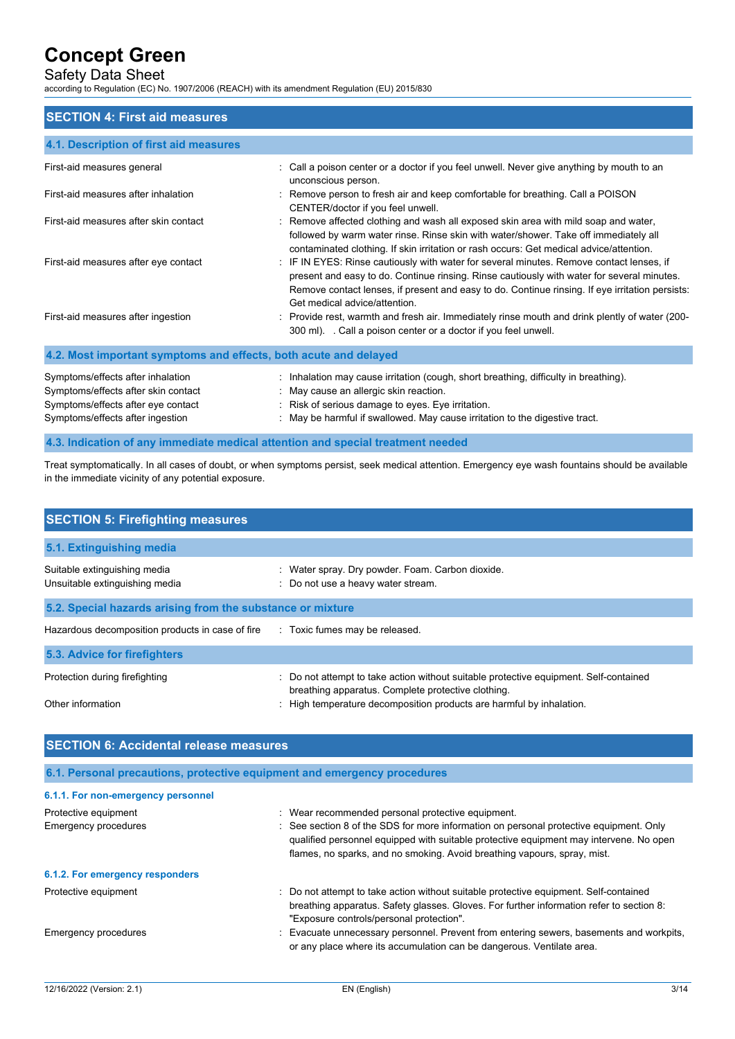## Safety Data Sheet

according to Regulation (EC) No. 1907/2006 (REACH) with its amendment Regulation (EU) 2015/830

## **SECTION 4: First aid measures**

| 4.1. Description of first aid measures                                                                                                             |                                                                                                                                                                                                                                                                                                                            |
|----------------------------------------------------------------------------------------------------------------------------------------------------|----------------------------------------------------------------------------------------------------------------------------------------------------------------------------------------------------------------------------------------------------------------------------------------------------------------------------|
| First-aid measures general                                                                                                                         | : Call a poison center or a doctor if you feel unwell. Never give anything by mouth to an<br>unconscious person.                                                                                                                                                                                                           |
| First-aid measures after inhalation                                                                                                                | : Remove person to fresh air and keep comfortable for breathing. Call a POISON<br>CENTER/doctor if you feel unwell.                                                                                                                                                                                                        |
| First-aid measures after skin contact                                                                                                              | Remove affected clothing and wash all exposed skin area with mild soap and water,<br>followed by warm water rinse. Rinse skin with water/shower. Take off immediately all<br>contaminated clothing. If skin irritation or rash occurs: Get medical advice/attention.                                                       |
| First-aid measures after eye contact                                                                                                               | : IF IN EYES: Rinse cautiously with water for several minutes. Remove contact lenses, if<br>present and easy to do. Continue rinsing. Rinse cautiously with water for several minutes.<br>Remove contact lenses, if present and easy to do. Continue rinsing. If eye irritation persists:<br>Get medical advice/attention. |
| First-aid measures after ingestion                                                                                                                 | : Provide rest, warmth and fresh air. Immediately rinse mouth and drink plently of water (200-<br>300 ml). Call a poison center or a doctor if you feel unwell.                                                                                                                                                            |
| 4.2. Most important symptoms and effects, both acute and delayed                                                                                   |                                                                                                                                                                                                                                                                                                                            |
| Symptoms/effects after inhalation<br>Symptoms/effects after skin contact<br>Symptoms/effects after eye contact<br>Symptoms/effects after ingestion | : Inhalation may cause irritation (cough, short breathing, difficulty in breathing).<br>: May cause an allergic skin reaction.<br>: Risk of serious damage to eyes. Eye irritation.<br>May be harmful if swallowed. May cause irritation to the digestive tract.                                                           |

#### **4.3. Indication of any immediate medical attention and special treatment needed**

Treat symptomatically. In all cases of doubt, or when symptoms persist, seek medical attention. Emergency eye wash fountains should be available in the immediate vicinity of any potential exposure.

| <b>SECTION 5: Firefighting measures</b>                                       |                                                                                                                                                                                                                     |  |  |
|-------------------------------------------------------------------------------|---------------------------------------------------------------------------------------------------------------------------------------------------------------------------------------------------------------------|--|--|
| 5.1. Extinguishing media                                                      |                                                                                                                                                                                                                     |  |  |
| Suitable extinguishing media<br>Unsuitable extinguishing media                | : Water spray. Dry powder. Foam. Carbon dioxide.<br>: Do not use a heavy water stream.                                                                                                                              |  |  |
| 5.2. Special hazards arising from the substance or mixture                    |                                                                                                                                                                                                                     |  |  |
| Hazardous decomposition products in case of fire Toxic fumes may be released. |                                                                                                                                                                                                                     |  |  |
| 5.3. Advice for firefighters                                                  |                                                                                                                                                                                                                     |  |  |
| Protection during firefighting<br>Other information                           | : Do not attempt to take action without suitable protective equipment. Self-contained<br>breathing apparatus. Complete protective clothing.<br>: High temperature decomposition products are harmful by inhalation. |  |  |

| <b>SECTION 6: Accidental release measures</b>                            |                                                                                                                                                                                                                                                            |  |
|--------------------------------------------------------------------------|------------------------------------------------------------------------------------------------------------------------------------------------------------------------------------------------------------------------------------------------------------|--|
| 6.1. Personal precautions, protective equipment and emergency procedures |                                                                                                                                                                                                                                                            |  |
| 6.1.1. For non-emergency personnel                                       |                                                                                                                                                                                                                                                            |  |
| Protective equipment                                                     | : Wear recommended personal protective equipment.                                                                                                                                                                                                          |  |
| Emergency procedures                                                     | See section 8 of the SDS for more information on personal protective equipment. Only<br>qualified personnel equipped with suitable protective equipment may intervene. No open<br>flames, no sparks, and no smoking. Avoid breathing vapours, spray, mist. |  |
| 6.1.2. For emergency responders                                          |                                                                                                                                                                                                                                                            |  |
| Protective equipment                                                     | Do not attempt to take action without suitable protective equipment. Self-contained<br>breathing apparatus. Safety glasses. Gloves. For further information refer to section 8:<br>"Exposure controls/personal protection".                                |  |
| Emergency procedures                                                     | Evacuate unnecessary personnel. Prevent from entering sewers, basements and workpits,<br>or any place where its accumulation can be dangerous. Ventilate area.                                                                                             |  |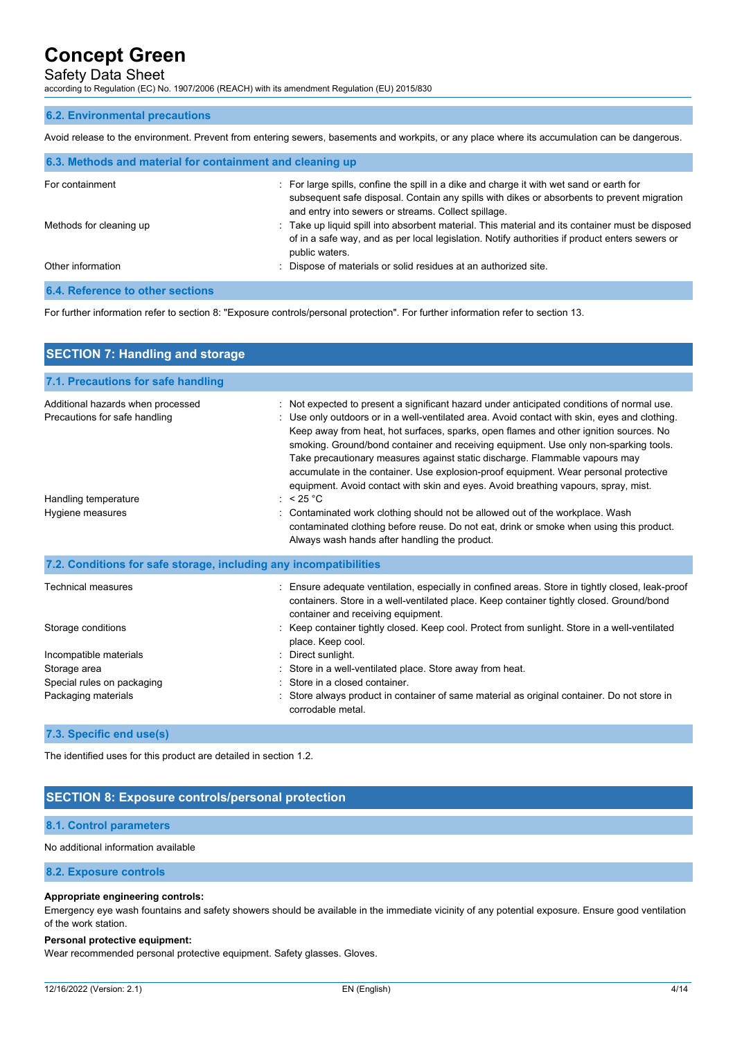## Safety Data Sheet

according to Regulation (EC) No. 1907/2006 (REACH) with its amendment Regulation (EU) 2015/830

#### **6.2. Environmental precautions**

Avoid release to the environment. Prevent from entering sewers, basements and workpits, or any place where its accumulation can be dangerous.

| 6.3. Methods and material for containment and cleaning up |                                                                                                                                                                                                                                               |  |
|-----------------------------------------------------------|-----------------------------------------------------------------------------------------------------------------------------------------------------------------------------------------------------------------------------------------------|--|
| For containment                                           | : For large spills, confine the spill in a dike and charge it with wet sand or earth for<br>subsequent safe disposal. Contain any spills with dikes or absorbents to prevent migration<br>and entry into sewers or streams. Collect spillage. |  |
| Methods for cleaning up                                   | : Take up liquid spill into absorbent material. This material and its container must be disposed<br>of in a safe way, and as per local legislation. Notify authorities if product enters sewers or<br>public waters.                          |  |
| Other information                                         | : Dispose of materials or solid residues at an authorized site.                                                                                                                                                                               |  |
| <b>6.4. Reference to other sections</b>                   |                                                                                                                                                                                                                                               |  |

For further information refer to section 8: "Exposure controls/personal protection". For further information refer to section 13.

| <b>SECTION 7: Handling and storage</b>                             |                                                                                                                                                                                                                                                                                                                                                                                                                                                                                                                                                                                                                                           |  |  |
|--------------------------------------------------------------------|-------------------------------------------------------------------------------------------------------------------------------------------------------------------------------------------------------------------------------------------------------------------------------------------------------------------------------------------------------------------------------------------------------------------------------------------------------------------------------------------------------------------------------------------------------------------------------------------------------------------------------------------|--|--|
| 7.1. Precautions for safe handling                                 |                                                                                                                                                                                                                                                                                                                                                                                                                                                                                                                                                                                                                                           |  |  |
| Additional hazards when processed<br>Precautions for safe handling | : Not expected to present a significant hazard under anticipated conditions of normal use.<br>: Use only outdoors or in a well-ventilated area. Avoid contact with skin, eyes and clothing.<br>Keep away from heat, hot surfaces, sparks, open flames and other ignition sources. No<br>smoking. Ground/bond container and receiving equipment. Use only non-sparking tools.<br>Take precautionary measures against static discharge. Flammable vapours may<br>accumulate in the container. Use explosion-proof equipment. Wear personal protective<br>equipment. Avoid contact with skin and eyes. Avoid breathing vapours, spray, mist. |  |  |
| Handling temperature<br>Hygiene measures                           | : $< 25 °C$<br>Contaminated work clothing should not be allowed out of the workplace. Wash<br>contaminated clothing before reuse. Do not eat, drink or smoke when using this product.<br>Always wash hands after handling the product.                                                                                                                                                                                                                                                                                                                                                                                                    |  |  |
| 7.2. Conditions for safe storage, including any incompatibilities  |                                                                                                                                                                                                                                                                                                                                                                                                                                                                                                                                                                                                                                           |  |  |
| <b>Technical measures</b>                                          | : Ensure adequate ventilation, especially in confined areas. Store in tightly closed, leak-proof<br>containers. Store in a well-ventilated place. Keep container tightly closed. Ground/bond<br>container and receiving equipment.                                                                                                                                                                                                                                                                                                                                                                                                        |  |  |
| Storage conditions                                                 | Keep container tightly closed. Keep cool. Protect from sunlight. Store in a well-ventilated<br>place. Keep cool.                                                                                                                                                                                                                                                                                                                                                                                                                                                                                                                          |  |  |
| Incompatible materials                                             | Direct sunlight.                                                                                                                                                                                                                                                                                                                                                                                                                                                                                                                                                                                                                          |  |  |
| Storage area<br>Special rules on packaging                         | : Store in a well-ventilated place. Store away from heat.<br>: Store in a closed container.                                                                                                                                                                                                                                                                                                                                                                                                                                                                                                                                               |  |  |
| Packaging materials                                                | : Store always product in container of same material as original container. Do not store in<br>corrodable metal.                                                                                                                                                                                                                                                                                                                                                                                                                                                                                                                          |  |  |
|                                                                    |                                                                                                                                                                                                                                                                                                                                                                                                                                                                                                                                                                                                                                           |  |  |

#### **7.3. Specific end use(s)**

The identified uses for this product are detailed in section 1.2.

## **SECTION 8: Exposure controls/personal protection**

#### **8.1. Control parameters**

#### No additional information available

#### **8.2. Exposure controls**

#### **Appropriate engineering controls:**

Emergency eye wash fountains and safety showers should be available in the immediate vicinity of any potential exposure. Ensure good ventilation of the work station.

#### **Personal protective equipment:**

Wear recommended personal protective equipment. Safety glasses. Gloves.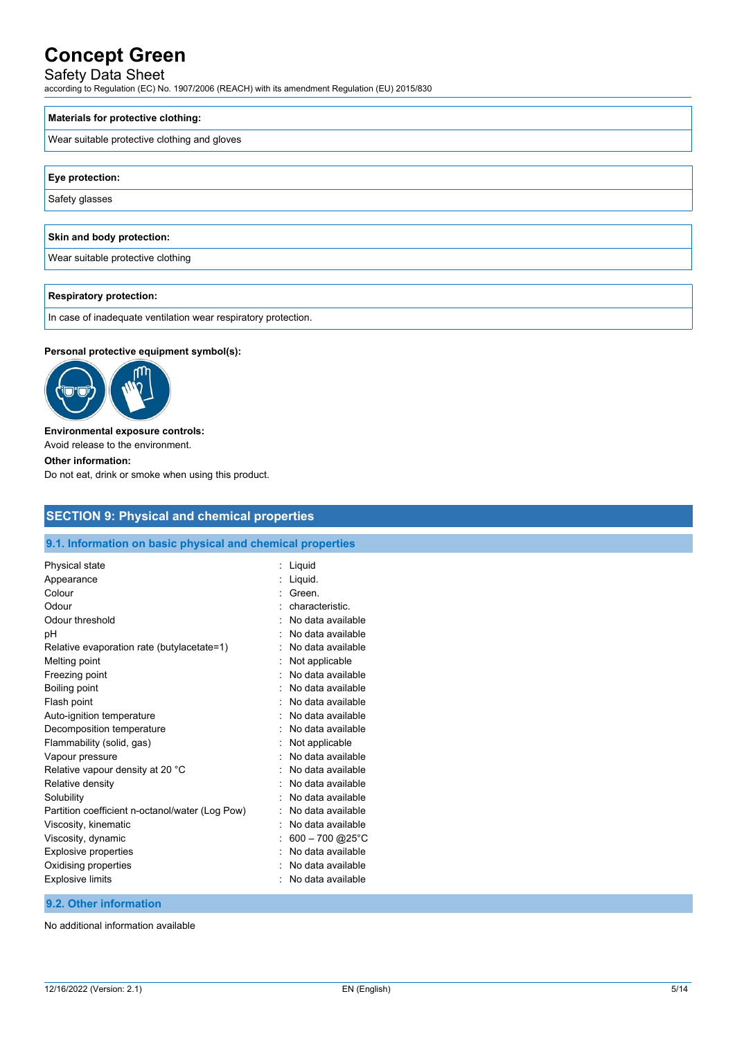## Safety Data Sheet

according to Regulation (EC) No. 1907/2006 (REACH) with its amendment Regulation (EU) 2015/830

#### **Materials for protective clothing:**

Wear suitable protective clothing and gloves

#### **Eye protection:**

Safety glasses

## **Skin and body protection:**

Wear suitable protective clothing

#### **Respiratory protection:**

In case of inadequate ventilation wear respiratory protection.

#### **Personal protective equipment symbol(s):**



#### **Environmental exposure controls:**

Avoid release to the environment.

#### **Other information:**

Do not eat, drink or smoke when using this product.

## **SECTION 9: Physical and chemical properties**

#### **9.1. Information on basic physical and chemical properties**

| Physical state                                  | Liquid            |
|-------------------------------------------------|-------------------|
| Appearance                                      | Liquid.           |
| Colour                                          | Green.            |
| Odour                                           | characteristic.   |
| Odour threshold                                 | No data available |
| рH                                              | No data available |
| Relative evaporation rate (butylacetate=1)      | No data available |
| Melting point                                   | Not applicable    |
| Freezing point                                  | No data available |
| Boiling point                                   | No data available |
| Flash point                                     | No data available |
| Auto-ignition temperature                       | No data available |
| Decomposition temperature                       | No data available |
| Flammability (solid, gas)                       | Not applicable    |
| Vapour pressure                                 | No data available |
| Relative vapour density at 20 °C                | No data available |
| Relative density                                | No data available |
| Solubility                                      | No data available |
| Partition coefficient n-octanol/water (Log Pow) | No data available |
| Viscosity, kinematic                            | No data available |
| Viscosity, dynamic                              | 600 - 700 @ 25°C  |
| <b>Explosive properties</b>                     | No data available |
| Oxidising properties                            | No data available |
| <b>Explosive limits</b>                         | No data available |
|                                                 |                   |

#### **9.2. Other information**

No additional information available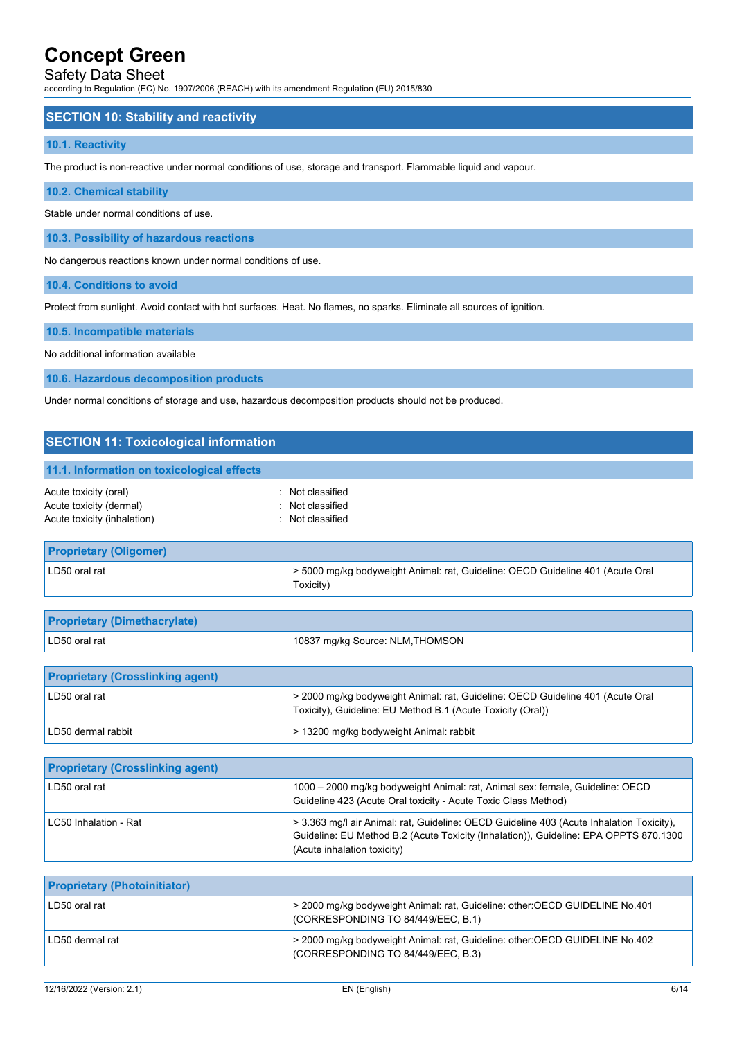## Safety Data Sheet

according to Regulation (EC) No. 1907/2006 (REACH) with its amendment Regulation (EU) 2015/830

#### **SECTION 10: Stability and reactivity**

#### **10.1. Reactivity**

The product is non-reactive under normal conditions of use, storage and transport. Flammable liquid and vapour.

#### **10.2. Chemical stability**

Stable under normal conditions of use.

**10.3. Possibility of hazardous reactions**

No dangerous reactions known under normal conditions of use.

**10.4. Conditions to avoid**

Protect from sunlight. Avoid contact with hot surfaces. Heat. No flames, no sparks. Eliminate all sources of ignition.

**10.5. Incompatible materials**

No additional information available

**10.6. Hazardous decomposition products**

Under normal conditions of storage and use, hazardous decomposition products should not be produced.

| <b>SECTION 11: Toxicological information</b>                                    |                                                                                                                                               |  |  |
|---------------------------------------------------------------------------------|-----------------------------------------------------------------------------------------------------------------------------------------------|--|--|
| 11.1. Information on toxicological effects                                      |                                                                                                                                               |  |  |
| Acute toxicity (oral)<br>Acute toxicity (dermal)<br>Acute toxicity (inhalation) | : Not classified<br>: Not classified<br>: Not classified                                                                                      |  |  |
| <b>Proprietary (Oligomer)</b>                                                   |                                                                                                                                               |  |  |
| LD50 oral rat                                                                   | > 5000 mg/kg bodyweight Animal: rat, Guideline: OECD Guideline 401 (Acute Oral<br>Toxicity)                                                   |  |  |
|                                                                                 |                                                                                                                                               |  |  |
| <b>Proprietary (Dimethacrylate)</b>                                             |                                                                                                                                               |  |  |
| LD50 oral rat<br>10837 mg/kg Source: NLM, THOMSON                               |                                                                                                                                               |  |  |
|                                                                                 |                                                                                                                                               |  |  |
| <b>Proprietary (Crosslinking agent)</b>                                         |                                                                                                                                               |  |  |
| LD50 oral rat                                                                   | > 2000 mg/kg bodyweight Animal: rat, Guideline: OECD Guideline 401 (Acute Oral<br>Toxicity), Guideline: EU Method B.1 (Acute Toxicity (Oral)) |  |  |
| LD50 dermal rabbit                                                              | > 13200 mg/kg bodyweight Animal: rabbit                                                                                                       |  |  |
|                                                                                 |                                                                                                                                               |  |  |
| <b>Proprietary (Crosslinking agent)</b>                                         |                                                                                                                                               |  |  |

| LD50 oral rat         | 1000 - 2000 mg/kg bodyweight Animal: rat, Animal sex: female, Guideline: OECD<br>Guideline 423 (Acute Oral toxicity - Acute Toxic Class Method)                                                                  |
|-----------------------|------------------------------------------------------------------------------------------------------------------------------------------------------------------------------------------------------------------|
| LC50 Inhalation - Rat | > 3.363 mg/l air Animal: rat. Guideline: OECD Guideline 403 (Acute Inhalation Toxicity).<br>Guideline: EU Method B.2 (Acute Toxicity (Inhalation)), Guideline: EPA OPPTS 870.1300<br>(Acute inhalation toxicity) |

| <b>Proprietary (Photoinitiator)</b> |                                                                                                                    |
|-------------------------------------|--------------------------------------------------------------------------------------------------------------------|
| LD50 oral rat                       | > 2000 mg/kg bodyweight Animal: rat, Guideline: other: OECD GUIDELINE No.401<br>(CORRESPONDING TO 84/449/EEC, B.1) |
| LD50 dermal rat                     | > 2000 mg/kg bodyweight Animal: rat, Guideline: other: OECD GUIDELINE No.402<br>(CORRESPONDING TO 84/449/EEC, B.3) |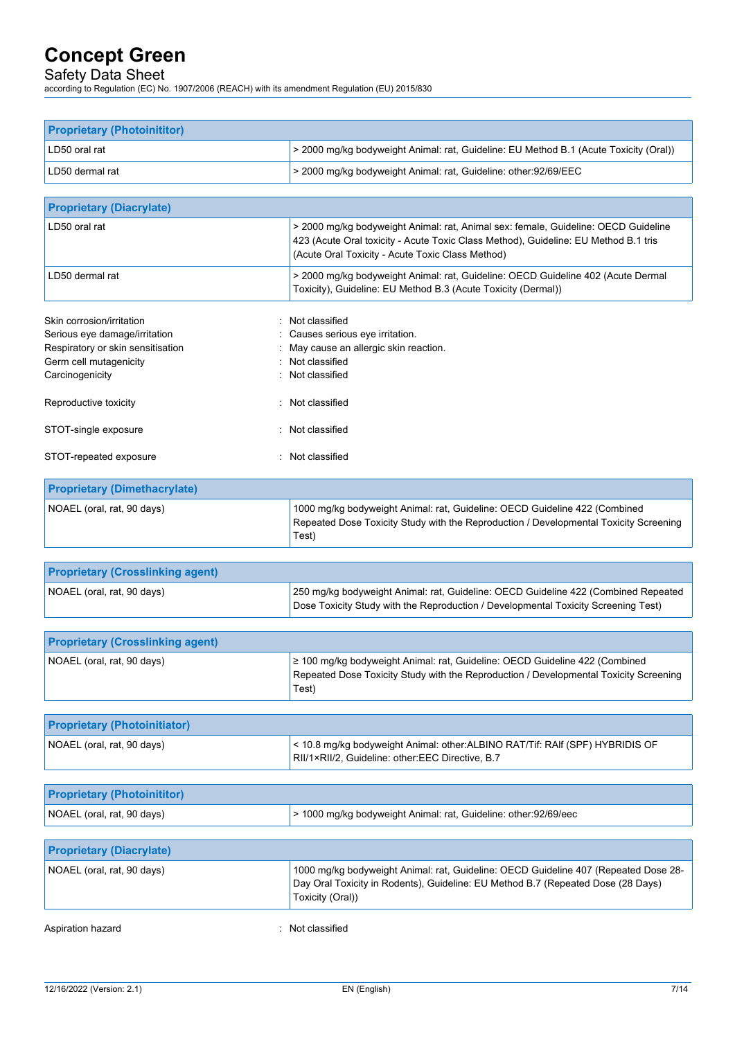## Safety Data Sheet

according to Regulation (EC) No. 1907/2006 (REACH) with its amendment Regulation (EU) 2015/830

| <b>Proprietary (Photoinititor)</b>  |                                                                                                                                                                                                                               |
|-------------------------------------|-------------------------------------------------------------------------------------------------------------------------------------------------------------------------------------------------------------------------------|
| LD50 oral rat                       | > 2000 mg/kg bodyweight Animal: rat, Guideline: EU Method B.1 (Acute Toxicity (Oral))                                                                                                                                         |
| LD50 dermal rat                     | > 2000 mg/kg bodyweight Animal: rat, Guideline: other:92/69/EEC                                                                                                                                                               |
|                                     |                                                                                                                                                                                                                               |
| <b>Proprietary (Diacrylate)</b>     |                                                                                                                                                                                                                               |
| LD50 oral rat                       | > 2000 mg/kg bodyweight Animal: rat, Animal sex: female, Guideline: OECD Guideline<br>423 (Acute Oral toxicity - Acute Toxic Class Method), Guideline: EU Method B.1 tris<br>(Acute Oral Toxicity - Acute Toxic Class Method) |
| LD50 dermal rat                     | > 2000 mg/kg bodyweight Animal: rat, Guideline: OECD Guideline 402 (Acute Dermal<br>Toxicity), Guideline: EU Method B.3 (Acute Toxicity (Dermal))                                                                             |
| Skin corrosion/irritation           | Not classified                                                                                                                                                                                                                |
| Serious eye damage/irritation       | Causes serious eye irritation.                                                                                                                                                                                                |
| Respiratory or skin sensitisation   | May cause an allergic skin reaction.                                                                                                                                                                                          |
| Germ cell mutagenicity              | Not classified                                                                                                                                                                                                                |
| Carcinogenicity                     | : Not classified                                                                                                                                                                                                              |
| Reproductive toxicity               | Not classified                                                                                                                                                                                                                |
| STOT-single exposure                | : Not classified                                                                                                                                                                                                              |
| STOT-repeated exposure              | : Not classified                                                                                                                                                                                                              |
| <b>Proprietary (Dimethacrylate)</b> |                                                                                                                                                                                                                               |

| NOAEL (oral, rat, 90 days) | 1000 mg/kg bodyweight Animal: rat, Guideline: OECD Guideline 422 (Combined            |
|----------------------------|---------------------------------------------------------------------------------------|
|                            | Repeated Dose Toxicity Study with the Reproduction / Developmental Toxicity Screening |
|                            | Test)                                                                                 |

| <b>Proprietary (Crosslinking agent)</b> |                                                                                                                                                                          |
|-----------------------------------------|--------------------------------------------------------------------------------------------------------------------------------------------------------------------------|
| NOAEL (oral, rat, 90 days)              | 250 mg/kg bodyweight Animal: rat, Guideline: OECD Guideline 422 (Combined Repeated<br>Dose Toxicity Study with the Reproduction / Developmental Toxicity Screening Test) |

| <b>Proprietary (Crosslinking agent)</b> |                                                                                                                                                                               |
|-----------------------------------------|-------------------------------------------------------------------------------------------------------------------------------------------------------------------------------|
| NOAEL (oral, rat, 90 days)              | ≥ 100 mg/kg bodyweight Animal: rat, Guideline: OECD Guideline 422 (Combined<br>Repeated Dose Toxicity Study with the Reproduction / Developmental Toxicity Screening<br>Test) |

| <b>Proprietary (Photoinitiator)</b> |                                                                                                                                  |
|-------------------------------------|----------------------------------------------------------------------------------------------------------------------------------|
| NOAEL (oral, rat, 90 days)          | < 10.8 mg/kg bodyweight Animal: other:ALBINO RAT/Tif: RAIf (SPF) HYBRIDIS OF<br>RII/1×RII/2, Guideline: other:EEC Directive, B.7 |
|                                     |                                                                                                                                  |

| <b>Proprietary (Photoinititor)</b> |                                                                 |
|------------------------------------|-----------------------------------------------------------------|
| NOAEL (oral, rat, 90 days)         | > 1000 mg/kg bodyweight Animal: rat, Guideline: other:92/69/eec |

| <b>Proprietary (Diacrylate)</b> |                                                                                                                                                                                             |
|---------------------------------|---------------------------------------------------------------------------------------------------------------------------------------------------------------------------------------------|
| NOAEL (oral, rat, 90 days)      | 1000 mg/kg bodyweight Animal: rat, Guideline: OECD Guideline 407 (Repeated Dose 28-<br>Day Oral Toxicity in Rodents), Guideline: EU Method B.7 (Repeated Dose (28 Days)<br>Toxicity (Oral)) |
| Aspiration hazard               | Not classified                                                                                                                                                                              |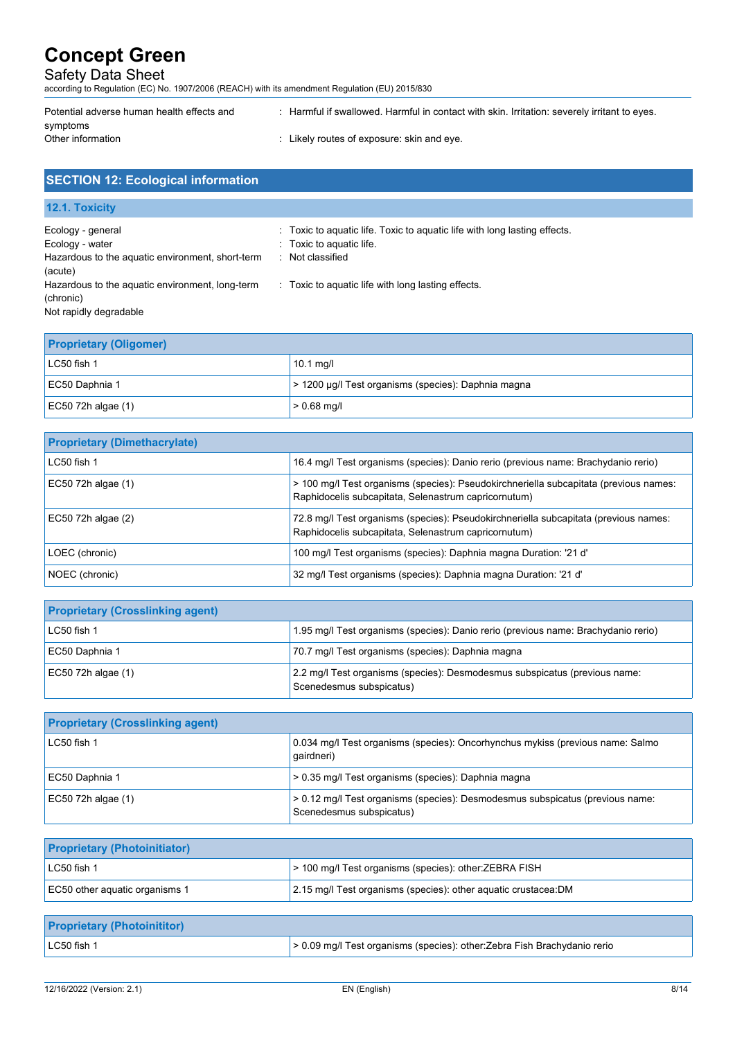## Safety Data Sheet

according to Regulation (EC) No. 1907/2006 (REACH) with its amendment Regulation (EU) 2015/830

| Potential adverse human health effects and | : Harmful if swallowed. Harmful in contact with skin. Irritation: severely irritant to eyes. |
|--------------------------------------------|----------------------------------------------------------------------------------------------|
| symptoms                                   |                                                                                              |
| Other information                          | $\therefore$ Likely routes of exposure: skin and eye.                                        |
|                                            |                                                                                              |

|  | <b>SECTION 12: Ecological information</b> |
|--|-------------------------------------------|
|  |                                           |

**12.1. Toxicity**

| Ecology - general<br>Ecology - water<br>Hazardous to the aquatic environment, short-term<br>(acute)<br>Hazardous to the aquatic environment, long-term<br>(chronic) | : Toxic to aguatic life. Toxic to aguatic life with long lasting effects.<br>: Toxic to aquatic life.<br>: Not classified<br>: Toxic to aquatic life with long lasting effects. |
|---------------------------------------------------------------------------------------------------------------------------------------------------------------------|---------------------------------------------------------------------------------------------------------------------------------------------------------------------------------|
| Not rapidly degradable                                                                                                                                              |                                                                                                                                                                                 |

| <b>Proprietary (Oligomer)</b> |                                                     |
|-------------------------------|-----------------------------------------------------|
| LC50 fish 1                   | 10.1 $mg/l$                                         |
| EC50 Daphnia 1                | > 1200 μg/l Test organisms (species): Daphnia magna |
| $EC50$ 72h algae (1)          | $> 0.68$ mg/l                                       |

| <b>Proprietary (Dimethacrylate)</b> |                                                                                                                                               |
|-------------------------------------|-----------------------------------------------------------------------------------------------------------------------------------------------|
| LC50 fish 1                         | 16.4 mg/l Test organisms (species): Danio rerio (previous name: Brachydanio rerio)                                                            |
| EC50 72h algae (1)                  | > 100 mg/l Test organisms (species): Pseudokirchneriella subcapitata (previous names:<br>Raphidocelis subcapitata, Selenastrum capricornutum) |
| $EC50$ 72h algae $(2)$              | 72.8 mg/l Test organisms (species): Pseudokirchneriella subcapitata (previous names:<br>Raphidocelis subcapitata, Selenastrum capricornutum)  |
| LOEC (chronic)                      | 100 mg/l Test organisms (species): Daphnia magna Duration: '21 d'                                                                             |
| NOEC (chronic)                      | 32 mg/l Test organisms (species): Daphnia magna Duration: '21 d'                                                                              |

| <b>Proprietary (Crosslinking agent)</b> |                                                                                                        |
|-----------------------------------------|--------------------------------------------------------------------------------------------------------|
| LC50 fish 1                             | 1.95 mg/l Test organisms (species): Danio rerio (previous name: Brachydanio rerio)                     |
| EC50 Daphnia 1                          | 70.7 mg/l Test organisms (species): Daphnia magna                                                      |
| EC50 72h algae $(1)$                    | 2.2 mg/l Test organisms (species): Desmodesmus subspicatus (previous name:<br>Scenedesmus subspicatus) |

| <b>Proprietary (Crosslinking agent)</b> |                                                                                                           |
|-----------------------------------------|-----------------------------------------------------------------------------------------------------------|
| LC50 fish 1                             | 0.034 mg/l Test organisms (species): Oncorhynchus mykiss (previous name: Salmo<br>qairdneri)              |
| EC50 Daphnia 1                          | > 0.35 mg/l Test organisms (species): Daphnia magna                                                       |
| EC50 72h algae $(1)$                    | > 0.12 mg/l Test organisms (species): Desmodesmus subspicatus (previous name:<br>Scenedesmus subspicatus) |

| <b>Proprietary (Photoinitiator)</b> |                                                                 |
|-------------------------------------|-----------------------------------------------------------------|
| $LC50$ fish 1                       | > 100 mg/l Test organisms (species): other: ZEBRA FISH          |
| EC50 other aguatic organisms 1      | 2.15 mg/l Test organisms (species): other aquatic crustacea: DM |

| <b>Proprietary (Photoinititor)</b> |                                                                                |
|------------------------------------|--------------------------------------------------------------------------------|
| $LC50$ fish 1                      | $\geq$ 0.09 mg/l Test organisms (species): other: Zebra Fish Brachydanio rerio |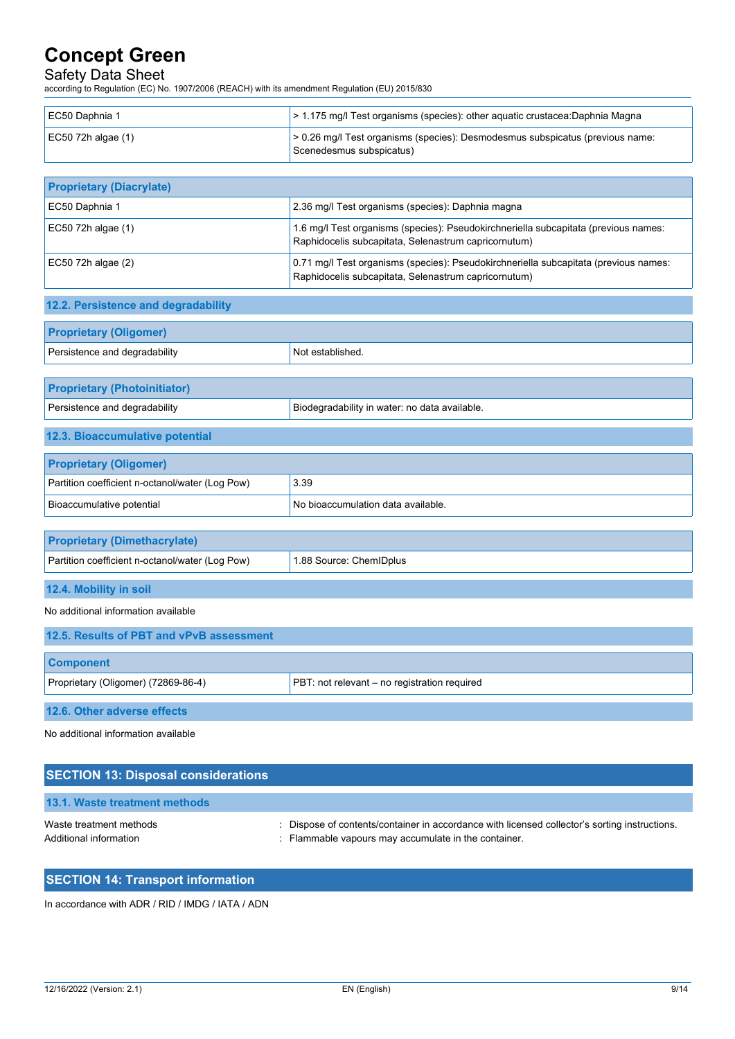## Safety Data Sheet

according to Regulation (EC) No. 1907/2006 (REACH) with its amendment Regulation (EU) 2015/830

| EC50 Daphnia 1                                  | > 1.175 mg/l Test organisms (species): other aquatic crustacea: Daphnia Magna                                                                |
|-------------------------------------------------|----------------------------------------------------------------------------------------------------------------------------------------------|
| EC50 72h algae (1)                              | > 0.26 mg/l Test organisms (species): Desmodesmus subspicatus (previous name:                                                                |
|                                                 | Scenedesmus subspicatus)                                                                                                                     |
|                                                 |                                                                                                                                              |
| <b>Proprietary (Diacrylate)</b>                 |                                                                                                                                              |
| EC50 Daphnia 1                                  | 2.36 mg/l Test organisms (species): Daphnia magna                                                                                            |
| EC50 72h algae (1)                              | 1.6 mg/l Test organisms (species): Pseudokirchneriella subcapitata (previous names:<br>Raphidocelis subcapitata, Selenastrum capricornutum)  |
| EC50 72h algae (2)                              | 0.71 mg/l Test organisms (species): Pseudokirchneriella subcapitata (previous names:<br>Raphidocelis subcapitata, Selenastrum capricornutum) |
| 12.2. Persistence and degradability             |                                                                                                                                              |
| <b>Proprietary (Oligomer)</b>                   |                                                                                                                                              |
| Persistence and degradability                   | Not established.                                                                                                                             |
|                                                 |                                                                                                                                              |
| <b>Proprietary (Photoinitiator)</b>             |                                                                                                                                              |
| Persistence and degradability                   | Biodegradability in water: no data available.                                                                                                |
| 12.3. Bioaccumulative potential                 |                                                                                                                                              |
| <b>Proprietary (Oligomer)</b>                   |                                                                                                                                              |
| Partition coefficient n-octanol/water (Log Pow) | 3.39                                                                                                                                         |
| Bioaccumulative potential                       | No bioaccumulation data available.                                                                                                           |
| <b>Proprietary (Dimethacrylate)</b>             |                                                                                                                                              |
| Partition coefficient n-octanol/water (Log Pow) | 1.88 Source: ChemIDplus                                                                                                                      |
| 12.4. Mobility in soil                          |                                                                                                                                              |
| No additional information available             |                                                                                                                                              |
| 12.5. Results of PBT and vPvB assessment        |                                                                                                                                              |
| <b>Component</b>                                |                                                                                                                                              |
| Proprietary (Oligomer) (72869-86-4)             | PBT: not relevant - no registration required                                                                                                 |
| 12.6. Other adverse effects                     |                                                                                                                                              |
| No additional information available             |                                                                                                                                              |
| <b>SECTION 13: Disposal considerations</b>      |                                                                                                                                              |

| 13.1. Waste treatment methods                     |                                                                                                                                                       |
|---------------------------------------------------|-------------------------------------------------------------------------------------------------------------------------------------------------------|
| Waste treatment methods<br>Additional information | : Dispose of contents/container in accordance with licensed collector's sorting instructions.<br>: Flammable vapours may accumulate in the container. |

## **SECTION 14: Transport information**

In accordance with ADR / RID / IMDG / IATA / ADN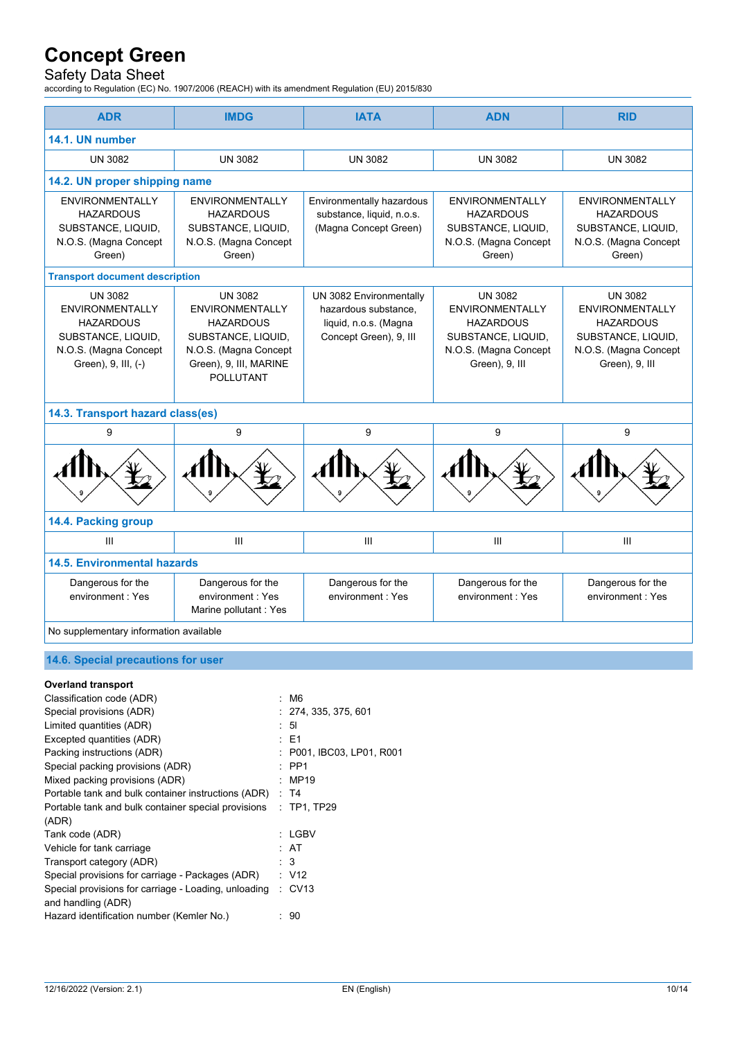## Safety Data Sheet

according to Regulation (EC) No. 1907/2006 (REACH) with its amendment Regulation (EU) 2015/830

| <b>ADR</b>                                                                                                                  | <b>IMDG</b>                                                                                                                                               | <b>IATA</b>                                                                                        | <b>ADN</b>                                                                                                                    | <b>RID</b>                                                                                                                    |  |
|-----------------------------------------------------------------------------------------------------------------------------|-----------------------------------------------------------------------------------------------------------------------------------------------------------|----------------------------------------------------------------------------------------------------|-------------------------------------------------------------------------------------------------------------------------------|-------------------------------------------------------------------------------------------------------------------------------|--|
| 14.1. UN number                                                                                                             |                                                                                                                                                           |                                                                                                    |                                                                                                                               |                                                                                                                               |  |
| <b>UN 3082</b>                                                                                                              | <b>UN 3082</b>                                                                                                                                            | <b>UN 3082</b>                                                                                     | <b>UN 3082</b>                                                                                                                | <b>UN 3082</b>                                                                                                                |  |
| 14.2. UN proper shipping name                                                                                               |                                                                                                                                                           |                                                                                                    |                                                                                                                               |                                                                                                                               |  |
| <b>ENVIRONMENTALLY</b><br><b>HAZARDOUS</b><br>SUBSTANCE, LIQUID,<br>N.O.S. (Magna Concept<br>Green)                         | <b>ENVIRONMENTALLY</b><br><b>HAZARDOUS</b><br>SUBSTANCE, LIQUID,<br>N.O.S. (Magna Concept<br>Green)                                                       | Environmentally hazardous<br>substance, liquid, n.o.s.<br>(Magna Concept Green)                    | <b>ENVIRONMENTALLY</b><br><b>HAZARDOUS</b><br>SUBSTANCE, LIQUID,<br>N.O.S. (Magna Concept<br>Green)                           | <b>ENVIRONMENTALLY</b><br><b>HAZARDOUS</b><br>SUBSTANCE, LIQUID,<br>N.O.S. (Magna Concept<br>Green)                           |  |
| <b>Transport document description</b>                                                                                       |                                                                                                                                                           |                                                                                                    |                                                                                                                               |                                                                                                                               |  |
| <b>UN 3082</b><br>ENVIRONMENTALLY<br><b>HAZARDOUS</b><br>SUBSTANCE, LIQUID,<br>N.O.S. (Magna Concept<br>Green), 9, III, (-) | <b>UN 3082</b><br><b>ENVIRONMENTALLY</b><br><b>HAZARDOUS</b><br>SUBSTANCE, LIQUID,<br>N.O.S. (Magna Concept<br>Green), 9, III, MARINE<br><b>POLLUTANT</b> | UN 3082 Environmentally<br>hazardous substance,<br>liquid, n.o.s. (Magna<br>Concept Green), 9, Ill | <b>UN 3082</b><br><b>ENVIRONMENTALLY</b><br><b>HAZARDOUS</b><br>SUBSTANCE, LIQUID,<br>N.O.S. (Magna Concept<br>Green), 9, III | <b>UN 3082</b><br><b>ENVIRONMENTALLY</b><br><b>HAZARDOUS</b><br>SUBSTANCE, LIQUID,<br>N.O.S. (Magna Concept<br>Green), 9, III |  |
| 14.3. Transport hazard class(es)                                                                                            |                                                                                                                                                           |                                                                                                    |                                                                                                                               |                                                                                                                               |  |
| 9                                                                                                                           | 9                                                                                                                                                         | 9                                                                                                  | 9                                                                                                                             | 9                                                                                                                             |  |
|                                                                                                                             |                                                                                                                                                           |                                                                                                    |                                                                                                                               |                                                                                                                               |  |
| 14.4. Packing group                                                                                                         |                                                                                                                                                           |                                                                                                    |                                                                                                                               |                                                                                                                               |  |
| III                                                                                                                         | III                                                                                                                                                       | III                                                                                                | III                                                                                                                           | Ш                                                                                                                             |  |
| <b>14.5. Environmental hazards</b>                                                                                          |                                                                                                                                                           |                                                                                                    |                                                                                                                               |                                                                                                                               |  |
| Dangerous for the<br>environment: Yes                                                                                       | Dangerous for the<br>environment: Yes<br>Marine pollutant : Yes                                                                                           | Dangerous for the<br>environment: Yes                                                              | Dangerous for the<br>environment: Yes                                                                                         | Dangerous for the<br>environment: Yes                                                                                         |  |
| No supplementary information available                                                                                      |                                                                                                                                                           |                                                                                                    |                                                                                                                               |                                                                                                                               |  |

## **14.6. Special precautions for user**

#### **Overland transport**

| Classification code (ADR)                            | : M6                      |
|------------------------------------------------------|---------------------------|
| Special provisions (ADR)                             | : 274, 335, 375, 601      |
| Limited quantities (ADR)                             | : 51                      |
| Excepted quantities (ADR)                            | $\pm$ E1                  |
| Packing instructions (ADR)                           | : P001, IBC03, LP01, R001 |
| Special packing provisions (ADR)                     | $\therefore$ PP1          |
| Mixed packing provisions (ADR)                       | MP19                      |
| Portable tank and bulk container instructions (ADR)  | : T4                      |
| Portable tank and bulk container special provisions  | $\therefore$ TP1, TP29    |
| (ADR)                                                |                           |
| Tank code (ADR)                                      | : LGBV                    |
| Vehicle for tank carriage                            | : AT                      |
| Transport category (ADR)                             | : 3                       |
| Special provisions for carriage - Packages (ADR)     | : V12                     |
| Special provisions for carriage - Loading, unloading | $\therefore$ CV13         |
| and handling (ADR)                                   |                           |
| Hazard identification number (Kemler No.)            | 90                        |
|                                                      |                           |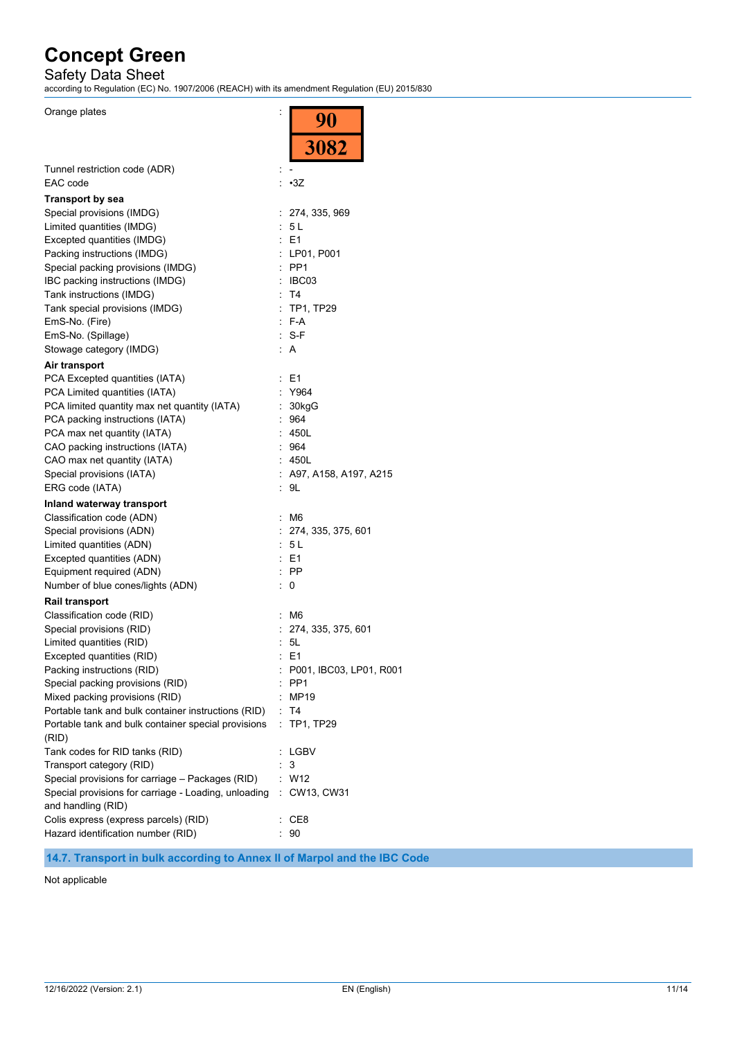## Safety Data Sheet

according to Regulation (EC) No. 1907/2006 (REACH) with its amendment Regulation (EU) 2015/830

 $\overline{90}$ 

Orange plates in the set of the set of the set of the set of the set of the set of the set of the set of the set of the set of the set of the set of the set of the set of the set of the set of the set of the set of the set

|                                                            | <u>∠ ∪</u><br>3082                 |  |
|------------------------------------------------------------|------------------------------------|--|
| Tunnel restriction code (ADR)                              |                                    |  |
| EAC code                                                   | : •3Z                              |  |
| <b>Transport by sea</b>                                    |                                    |  |
| Special provisions (IMDG)                                  | : 274, 335, 969                    |  |
| Limited quantities (IMDG)                                  | : 5 L                              |  |
| Excepted quantities (IMDG)                                 | $\therefore$ E1                    |  |
| Packing instructions (IMDG)                                | : LP01, P001                       |  |
| Special packing provisions (IMDG)                          | $:$ PP1                            |  |
| IBC packing instructions (IMDG)                            | : IBC03                            |  |
| Tank instructions (IMDG)                                   | : T4                               |  |
| Tank special provisions (IMDG)                             | : TP1, TP29                        |  |
| EmS-No. (Fire)                                             | $F-A$                              |  |
| EmS-No. (Spillage)                                         | $: S-F$                            |  |
| Stowage category (IMDG)                                    | : A                                |  |
| Air transport                                              |                                    |  |
| PCA Excepted quantities (IATA)                             | : E1                               |  |
| PCA Limited quantities (IATA)                              | Y964                               |  |
| PCA limited quantity max net quantity (IATA)               | : 30kgG                            |  |
| PCA packing instructions (IATA)                            | :964                               |  |
| PCA max net quantity (IATA)                                | : 450L                             |  |
| CAO packing instructions (IATA)                            | $\mathcal{L}_{\mathcal{A}}$<br>964 |  |
| CAO max net quantity (IATA)                                | : 450L                             |  |
| Special provisions (IATA)                                  | : A97, A158, A197, A215            |  |
| ERG code (IATA)                                            | : 9L                               |  |
| Inland waterway transport                                  |                                    |  |
| Classification code (ADN)                                  | : M6                               |  |
| Special provisions (ADN)                                   | : 274, 335, 375, 601               |  |
| Limited quantities (ADN)                                   | : 5L                               |  |
| Excepted quantities (ADN)                                  | : E1                               |  |
| Equipment required (ADN)                                   | $:$ PP                             |  |
| Number of blue cones/lights (ADN)                          | 0<br>t.                            |  |
| <b>Rail transport</b>                                      |                                    |  |
| Classification code (RID)                                  | : M6                               |  |
| Special provisions (RID)                                   | : 274, 335, 375, 601               |  |
| Limited quantities (RID)                                   | : 5L                               |  |
| Excepted quantities (RID)                                  | : E1                               |  |
| Packing instructions (RID)                                 | : P001, IBC03, LP01, R001          |  |
| Special packing provisions (RID)                           | PP <sub>1</sub>                    |  |
| Mixed packing provisions (RID)                             | MP19                               |  |
| Portable tank and bulk container instructions (RID)        | T4<br>TP1, TP29                    |  |
| Portable tank and bulk container special provisions        | ÷                                  |  |
| (RID)                                                      |                                    |  |
| Tank codes for RID tanks (RID)<br>Transport category (RID) | : LGBV<br>3                        |  |
| Special provisions for carriage - Packages (RID)           | W12                                |  |
| Special provisions for carriage - Loading, unloading       | : CW13, CW31                       |  |
| and handling (RID)                                         |                                    |  |
| Colis express (express parcels) (RID)                      | : CE8                              |  |
| Hazard identification number (RID)                         | 90                                 |  |
|                                                            |                                    |  |

**14.7. Transport in bulk according to Annex II of Marpol and the IBC Code**

Not applicable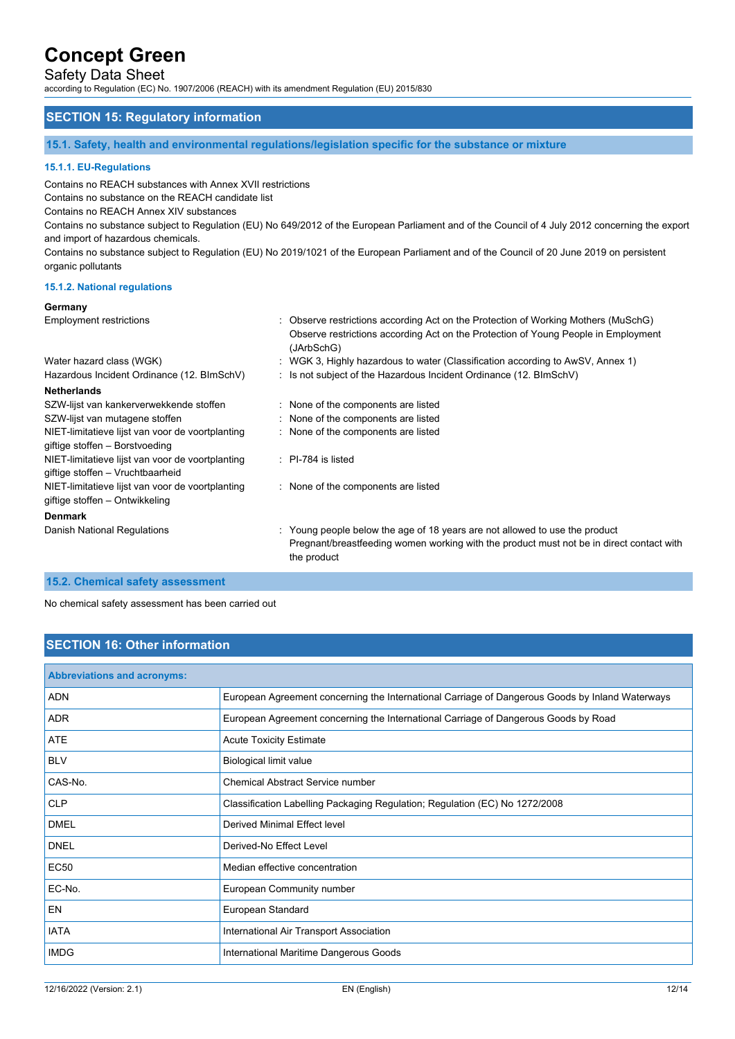## Safety Data Sheet

according to Regulation (EC) No. 1907/2006 (REACH) with its amendment Regulation (EU) 2015/830

## **SECTION 15: Regulatory information**

**15.1. Safety, health and environmental regulations/legislation specific for the substance or mixture**

#### **15.1.1. EU-Regulations**

Contains no REACH substances with Annex XVII restrictions

Contains no substance on the REACH candidate list

Contains no REACH Annex XIV substances

Contains no substance subject to Regulation (EU) No 649/2012 of the European Parliament and of the Council of 4 July 2012 concerning the export and import of hazardous chemicals.

Contains no substance subject to Regulation (EU) No 2019/1021 of the European Parliament and of the Council of 20 June 2019 on persistent organic pollutants

#### **15.1.2. National regulations**

#### **Germany**

| <b>Employment restrictions</b>                                                       | : Observe restrictions according Act on the Protection of Working Mothers (MuSchG)<br>Observe restrictions according Act on the Protection of Young People in Employment<br>(JArbSchG) |
|--------------------------------------------------------------------------------------|----------------------------------------------------------------------------------------------------------------------------------------------------------------------------------------|
| Water hazard class (WGK)                                                             | : WGK 3, Highly hazardous to water (Classification according to AwSV, Annex 1)                                                                                                         |
| Hazardous Incident Ordinance (12. BImSchV)                                           | : Is not subject of the Hazardous Incident Ordinance (12. BImSchV)                                                                                                                     |
| <b>Netherlands</b>                                                                   |                                                                                                                                                                                        |
| SZW-lijst van kankerverwekkende stoffen                                              | : None of the components are listed                                                                                                                                                    |
| SZW-lijst van mutagene stoffen                                                       | : None of the components are listed                                                                                                                                                    |
| NIET-limitatieve lijst van voor de voortplanting<br>giftige stoffen – Borstvoeding   | : None of the components are listed                                                                                                                                                    |
| NIET-limitatieve lijst van voor de voortplanting<br>giftige stoffen - Vruchtbaarheid | $\therefore$ PI-784 is listed                                                                                                                                                          |
| NIET-limitatieve lijst van voor de voortplanting<br>giftige stoffen – Ontwikkeling   | : None of the components are listed                                                                                                                                                    |
| <b>Denmark</b>                                                                       |                                                                                                                                                                                        |
| Danish National Regulations                                                          | : Young people below the age of 18 years are not allowed to use the product<br>Pregnant/breastfeeding women working with the product must not be in direct contact with<br>the product |
|                                                                                      |                                                                                                                                                                                        |

#### **15.2. Chemical safety assessment**

No chemical safety assessment has been carried out

## **SECTION 16: Other information**

| <b>Abbreviations and acronyms:</b> |                                                                                                 |
|------------------------------------|-------------------------------------------------------------------------------------------------|
| <b>ADN</b>                         | European Agreement concerning the International Carriage of Dangerous Goods by Inland Waterways |
| <b>ADR</b>                         | European Agreement concerning the International Carriage of Dangerous Goods by Road             |
| <b>ATE</b>                         | <b>Acute Toxicity Estimate</b>                                                                  |
| <b>BLV</b>                         | <b>Biological limit value</b>                                                                   |
| CAS-No.                            | <b>Chemical Abstract Service number</b>                                                         |
| <b>CLP</b>                         | Classification Labelling Packaging Regulation; Regulation (EC) No 1272/2008                     |
| <b>DMEL</b>                        | <b>Derived Minimal Effect level</b>                                                             |
| <b>DNEL</b>                        | Derived-No Effect Level                                                                         |
| <b>EC50</b>                        | Median effective concentration                                                                  |
| EC-No.                             | European Community number                                                                       |
| <b>EN</b>                          | European Standard                                                                               |
| <b>IATA</b>                        | International Air Transport Association                                                         |
| <b>IMDG</b>                        | International Maritime Dangerous Goods                                                          |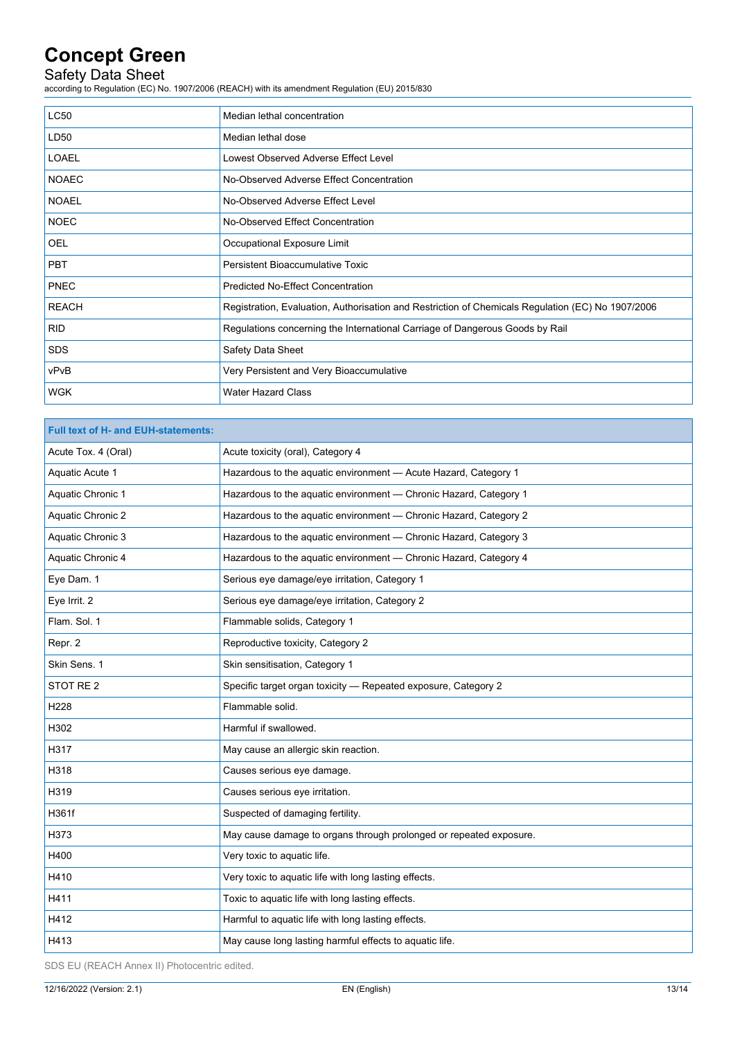## Safety Data Sheet

according to Regulation (EC) No. 1907/2006 (REACH) with its amendment Regulation (EU) 2015/830

| <b>LC50</b>  | Median lethal concentration                                                                       |
|--------------|---------------------------------------------------------------------------------------------------|
| LD50         | Median lethal dose                                                                                |
| <b>LOAEL</b> | Lowest Observed Adverse Effect Level                                                              |
| <b>NOAEC</b> | No-Observed Adverse Effect Concentration                                                          |
| <b>NOAEL</b> | No-Observed Adverse Effect Level                                                                  |
| <b>NOEC</b>  | No-Observed Effect Concentration                                                                  |
| <b>OEL</b>   | Occupational Exposure Limit                                                                       |
| <b>PBT</b>   | Persistent Bioaccumulative Toxic                                                                  |
| <b>PNEC</b>  | <b>Predicted No-Effect Concentration</b>                                                          |
| <b>REACH</b> | Registration, Evaluation, Authorisation and Restriction of Chemicals Regulation (EC) No 1907/2006 |
| <b>RID</b>   | Regulations concerning the International Carriage of Dangerous Goods by Rail                      |
| <b>SDS</b>   | <b>Safety Data Sheet</b>                                                                          |
| vPvB         | Very Persistent and Very Bioaccumulative                                                          |
| <b>WGK</b>   | <b>Water Hazard Class</b>                                                                         |

| <b>Full text of H- and EUH-statements:</b> |                                                                    |  |
|--------------------------------------------|--------------------------------------------------------------------|--|
| Acute Tox. 4 (Oral)                        | Acute toxicity (oral), Category 4                                  |  |
| Aquatic Acute 1                            | Hazardous to the aquatic environment - Acute Hazard, Category 1    |  |
| Aquatic Chronic 1                          | Hazardous to the aquatic environment - Chronic Hazard, Category 1  |  |
| Aquatic Chronic 2                          | Hazardous to the aquatic environment - Chronic Hazard, Category 2  |  |
| Aquatic Chronic 3                          | Hazardous to the aquatic environment - Chronic Hazard, Category 3  |  |
| Aquatic Chronic 4                          | Hazardous to the aquatic environment - Chronic Hazard, Category 4  |  |
| Eye Dam. 1                                 | Serious eye damage/eye irritation, Category 1                      |  |
| Eye Irrit. 2                               | Serious eye damage/eye irritation, Category 2                      |  |
| Flam. Sol. 1                               | Flammable solids, Category 1                                       |  |
| Repr. 2                                    | Reproductive toxicity, Category 2                                  |  |
| Skin Sens. 1                               | Skin sensitisation, Category 1                                     |  |
| STOT RE <sub>2</sub>                       | Specific target organ toxicity - Repeated exposure, Category 2     |  |
| H228                                       | Flammable solid.                                                   |  |
| H302                                       | Harmful if swallowed.                                              |  |
| H317                                       | May cause an allergic skin reaction.                               |  |
| H318                                       | Causes serious eye damage.                                         |  |
| H319                                       | Causes serious eye irritation.                                     |  |
| H361f                                      | Suspected of damaging fertility.                                   |  |
| H373                                       | May cause damage to organs through prolonged or repeated exposure. |  |
| H400                                       | Very toxic to aquatic life.                                        |  |
| H410                                       | Very toxic to aquatic life with long lasting effects.              |  |
| H411                                       | Toxic to aquatic life with long lasting effects.                   |  |
| H412                                       | Harmful to aquatic life with long lasting effects.                 |  |
| H413                                       | May cause long lasting harmful effects to aquatic life.            |  |

SDS EU (REACH Annex II) Photocentric edited.